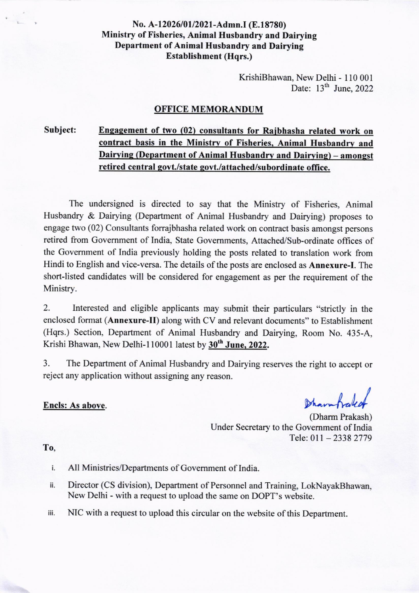### No. A-12026/01/2021-Admn.I (E.18780) Ministry of Fisheries, Animal Husbandry and Dairying Department of Animal Husbandry and Dairying Establishment (Hqrs.)

KrishiBhawan, New Delhi - I l0 001 Date:  $13<sup>th</sup>$  June, 2022

#### OFFICE MEMORANDUM

#### Subject:

## Engagement of two (02) consultants for Raibhasha related work on contract basis in the Ministry of Fisheries, Animal Husbandry and Dairying (Department of Animal Husbandry and Dairying) – amongst retired central govt./state govt./attached/subordinate office.

The undersigned is directed to say that the Ministry of Fisheries, Animal Husbandry & Dairying (Department of Animal Husbandry and Dairying) proposes to engage two (02) Consultants forrajbhasha related work on contract basis amongst persons retired from Govemment of India, State Govemments, Attached/Sub-ordinate offices of the Govemment of India previously holding the posts related to translation work from Hindi to English and vice-versa. The details of the posts are enclosed as Annexure-I. The short-listed candidates will be considered for engagement as per the requirement of the Ministry.

2. Interested and eligible applicants may submit their particulars "strictly in the enclosed format (Annexure-II) along with CV and relevant documents" to Establishment (Hqrs.) Section, Department of Animal Husbandry and Dairying, Room No. 435-A, Krishi Bhawan, New Delhi-110001 latest by 30<sup>th</sup> June. 2022.

3. The Department of Animal Husbandry and Dairying reserves the right to accept or reject any application without assigning any reason.

### Encls: As above.

Dharmhaleaf

(Dharm Prakash) Under Secretary to the Government of India Tele: 011 - 2338 2779

### To,

- All Ministries/Departments of Govemment of India. i.
- Director (CS division), Department of Personnel and Training, LokNayakBhawan, ii. New Delhi - with a request to upload the same on DOPT's website.
- iii. NIC with a request to upload this circular on the website of this Department.